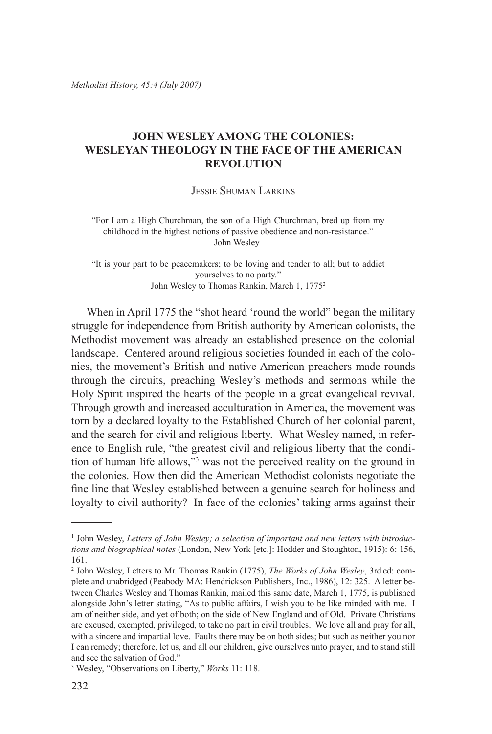*Methodist History, 45:4 (July 2007)*

# **John Wesley Among the Colonies: Wesleyan Theology in the Face of the American Revolution**

Jessie Shuman Larkins

"For I am a High Churchman, the son of a High Churchman, bred up from my childhood in the highest notions of passive obedience and non-resistance." John Wesley<sup>1</sup>

"It is your part to be peacemakers; to be loving and tender to all; but to addict yourselves to no party." John Wesley to Thomas Rankin, March 1, 17752

When in April 1775 the "shot heard 'round the world" began the military struggle for independence from British authority by American colonists, the Methodist movement was already an established presence on the colonial landscape. Centered around religious societies founded in each of the colonies, the movement's British and native American preachers made rounds through the circuits, preaching Wesley's methods and sermons while the Holy Spirit inspired the hearts of the people in a great evangelical revival. Through growth and increased acculturation in America, the movement was torn by a declared loyalty to the Established Church of her colonial parent, and the search for civil and religious liberty. What Wesley named, in reference to English rule, "the greatest civil and religious liberty that the condition of human life allows,"3 was not the perceived reality on the ground in the colonies. How then did the American Methodist colonists negotiate the fine line that Wesley established between a genuine search for holiness and loyalty to civil authority? In face of the colonies' taking arms against their

<sup>&</sup>lt;sup>1</sup> John Wesley, Letters of John Wesley; a selection of important and new letters with introduc*tions and biographical notes* (London, New York [etc.]: Hodder and Stoughton, 1915): 6: 156, 161.

<sup>2</sup> John Wesley, Letters to Mr. Thomas Rankin (1775), *The Works of John Wesley*, 3rd ed: complete and unabridged (Peabody MA: Hendrickson Publishers, Inc., 1986), 12: 325. A letter between Charles Wesley and Thomas Rankin, mailed this same date, March 1, 1775, is published alongside John's letter stating, "As to public affairs, I wish you to be like minded with me. I am of neither side, and yet of both; on the side of New England and of Old. Private Christians are excused, exempted, privileged, to take no part in civil troubles. We love all and pray for all, with a sincere and impartial love. Faults there may be on both sides; but such as neither you nor I can remedy; therefore, let us, and all our children, give ourselves unto prayer, and to stand still and see the salvation of God."

<sup>3</sup> Wesley, "Observations on Liberty," *Works* 11: 118.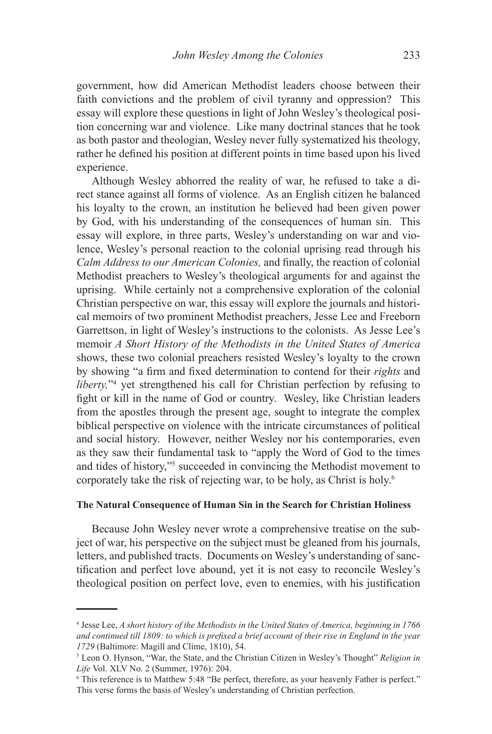government, how did American Methodist leaders choose between their faith convictions and the problem of civil tyranny and oppression? This essay will explore these questions in light of John Wesley's theological position concerning war and violence. Like many doctrinal stances that he took as both pastor and theologian, Wesley never fully systematized his theology, rather he defined his position at different points in time based upon his lived experience.

Although Wesley abhorred the reality of war, he refused to take a direct stance against all forms of violence. As an English citizen he balanced his loyalty to the crown, an institution he believed had been given power by God, with his understanding of the consequences of human sin. This essay will explore, in three parts, Wesley's understanding on war and violence, Wesley's personal reaction to the colonial uprising read through his *Calm Address to our American Colonies,* and finally, the reaction of colonial Methodist preachers to Wesley's theological arguments for and against the uprising. While certainly not a comprehensive exploration of the colonial Christian perspective on war, this essay will explore the journals and historical memoirs of two prominent Methodist preachers, Jesse Lee and Freeborn Garrettson, in light of Wesley's instructions to the colonists. As Jesse Lee's memoir *A Short History of the Methodists in the United States of America*  shows, these two colonial preachers resisted Wesley's loyalty to the crown by showing "a firm and fixed determination to contend for their *rights* and *liberty*,"<sup>4</sup> yet strengthened his call for Christian perfection by refusing to fight or kill in the name of God or country. Wesley, like Christian leaders from the apostles through the present age, sought to integrate the complex biblical perspective on violence with the intricate circumstances of political and social history. However, neither Wesley nor his contemporaries, even as they saw their fundamental task to "apply the Word of God to the times and tides of history,"5 succeeded in convincing the Methodist movement to corporately take the risk of rejecting war, to be holy, as Christ is holy.6

## **The Natural Consequence of Human Sin in the Search for Christian Holiness**

Because John Wesley never wrote a comprehensive treatise on the subject of war, his perspective on the subject must be gleaned from his journals, letters, and published tracts. Documents on Wesley's understanding of sanctification and perfect love abound, yet it is not easy to reconcile Wesley's theological position on perfect love, even to enemies, with his justification

<sup>4</sup> Jesse Lee, *A short history of the Methodists in the United States of America, beginning in 1766 and continued till 1809: to which is prefixed a brief account of their rise in England in the year 1729* (Baltimore: Magill and Clime, 1810), 54.

<sup>5</sup> Leon O. Hynson, "War, the State, and the Christian Citizen in Wesley's Thought" *Religion in Life* Vol. XLV No. 2 (Summer, 1976): 204.

<sup>6</sup> This reference is to Matthew 5:48 "Be perfect, therefore, as your heavenly Father is perfect." This verse forms the basis of Wesley's understanding of Christian perfection.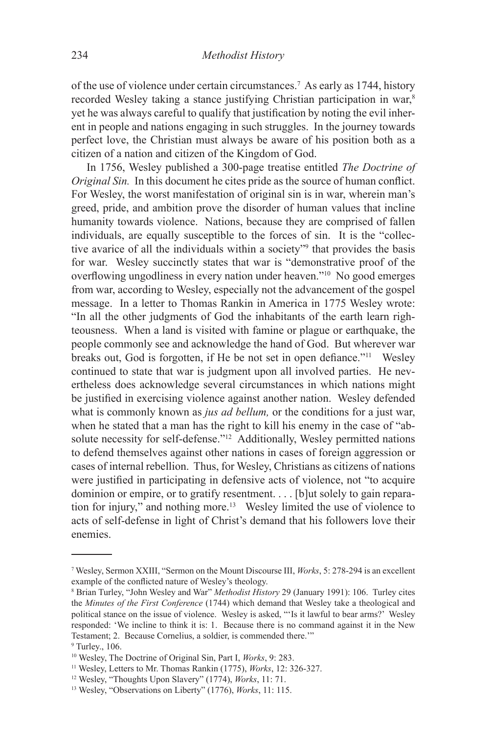of the use of violence under certain circumstances.7 As early as 1744, history recorded Wesley taking a stance justifying Christian participation in war,<sup>8</sup> yet he was always careful to qualify that justification by noting the evil inherent in people and nations engaging in such struggles. In the journey towards perfect love, the Christian must always be aware of his position both as a citizen of a nation and citizen of the Kingdom of God.

In 1756, Wesley published a 300-page treatise entitled *The Doctrine of Original Sin.* In this document he cites pride as the source of human conflict. For Wesley, the worst manifestation of original sin is in war, wherein man's greed, pride, and ambition prove the disorder of human values that incline humanity towards violence. Nations, because they are comprised of fallen individuals, are equally susceptible to the forces of sin. It is the "collective avarice of all the individuals within a society<sup>79</sup> that provides the basis for war. Wesley succinctly states that war is "demonstrative proof of the overflowing ungodliness in every nation under heaven."10 No good emerges from war, according to Wesley, especially not the advancement of the gospel message. In a letter to Thomas Rankin in America in 1775 Wesley wrote: "In all the other judgments of God the inhabitants of the earth learn righteousness. When a land is visited with famine or plague or earthquake, the people commonly see and acknowledge the hand of God. But wherever war breaks out, God is forgotten, if He be not set in open defiance."<sup>11</sup>Wesley continued to state that war is judgment upon all involved parties. He nevertheless does acknowledge several circumstances in which nations might be justified in exercising violence against another nation. Wesley defended what is commonly known as *jus ad bellum*, or the conditions for a just war, when he stated that a man has the right to kill his enemy in the case of "absolute necessity for self-defense."<sup>12</sup> Additionally, Wesley permitted nations to defend themselves against other nations in cases of foreign aggression or cases of internal rebellion. Thus, for Wesley, Christians as citizens of nations were justified in participating in defensive acts of violence, not "to acquire dominion or empire, or to gratify resentment. . . . [b]ut solely to gain reparation for injury," and nothing more.13 Wesley limited the use of violence to acts of self-defense in light of Christ's demand that his followers love their enemies.

<sup>7</sup> Wesley, Sermon XXIII, "Sermon on the Mount Discourse III, *Works*, 5: 278-294 is an excellent example of the conflicted nature of Wesley's theology.

<sup>8</sup> Brian Turley, "John Wesley and War" *Methodist History* 29 (January 1991): 106. Turley cites the *Minutes of the First Conference* (1744) which demand that Wesley take a theological and political stance on the issue of violence. Wesley is asked, "'Is it lawful to bear arms?' Wesley responded: 'We incline to think it is: 1. Because there is no command against it in the New Testament; 2. Because Cornelius, a soldier, is commended there.'"

 $9$  Turley., 106.

<sup>10</sup> Wesley, The Doctrine of Original Sin, Part I, *Works*, 9: 283.

<sup>11</sup> Wesley, Letters to Mr. Thomas Rankin (1775), *Works*, 12: 326-327.

<sup>12</sup> Wesley, "Thoughts Upon Slavery" (1774), *Works*, 11: 71.

<sup>13</sup> Wesley, "Observations on Liberty" (1776), *Works*, 11: 115.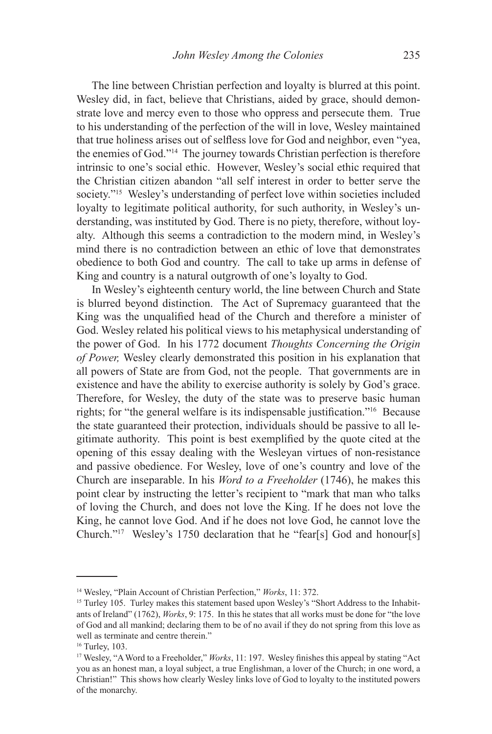The line between Christian perfection and loyalty is blurred at this point. Wesley did, in fact, believe that Christians, aided by grace, should demonstrate love and mercy even to those who oppress and persecute them. True to his understanding of the perfection of the will in love, Wesley maintained that true holiness arises out of selfless love for God and neighbor, even "yea, the enemies of God."14 The journey towards Christian perfection is therefore intrinsic to one's social ethic. However, Wesley's social ethic required that the Christian citizen abandon "all self interest in order to better serve the society."15 Wesley's understanding of perfect love within societies included loyalty to legitimate political authority, for such authority, in Wesley's understanding, was instituted by God. There is no piety, therefore, without loyalty. Although this seems a contradiction to the modern mind, in Wesley's mind there is no contradiction between an ethic of love that demonstrates obedience to both God and country. The call to take up arms in defense of King and country is a natural outgrowth of one's loyalty to God.

In Wesley's eighteenth century world, the line between Church and State is blurred beyond distinction. The Act of Supremacy guaranteed that the King was the unqualified head of the Church and therefore a minister of God. Wesley related his political views to his metaphysical understanding of the power of God. In his 1772 document *Thoughts Concerning the Origin of Power,* Wesley clearly demonstrated this position in his explanation that all powers of State are from God, not the people. That governments are in existence and have the ability to exercise authority is solely by God's grace. Therefore, for Wesley, the duty of the state was to preserve basic human rights; for "the general welfare is its indispensable justification."16 Because the state guaranteed their protection, individuals should be passive to all legitimate authority. This point is best exemplified by the quote cited at the opening of this essay dealing with the Wesleyan virtues of non-resistance and passive obedience. For Wesley, love of one's country and love of the Church are inseparable. In his *Word to a Freeholder* (1746), he makes this point clear by instructing the letter's recipient to "mark that man who talks of loving the Church, and does not love the King. If he does not love the King, he cannot love God. And if he does not love God, he cannot love the Church."17 Wesley's 1750 declaration that he "fear[s] God and honour[s]

<sup>14</sup> Wesley, "Plain Account of Christian Perfection," *Works*, 11: 372.

<sup>&</sup>lt;sup>15</sup> Turley 105. Turley makes this statement based upon Wesley's "Short Address to the Inhabitants of Ireland" (1762), *Works*, 9: 175. In this he states that all works must be done for "the love of God and all mankind; declaring them to be of no avail if they do not spring from this love as well as terminate and centre therein."

<sup>16</sup> Turley, 103.

<sup>&</sup>lt;sup>17</sup> Wesley, "A Word to a Freeholder," *Works*, 11: 197. Wesley finishes this appeal by stating "Act you as an honest man, a loyal subject, a true Englishman, a lover of the Church; in one word, a Christian!" This shows how clearly Wesley links love of God to loyalty to the instituted powers of the monarchy.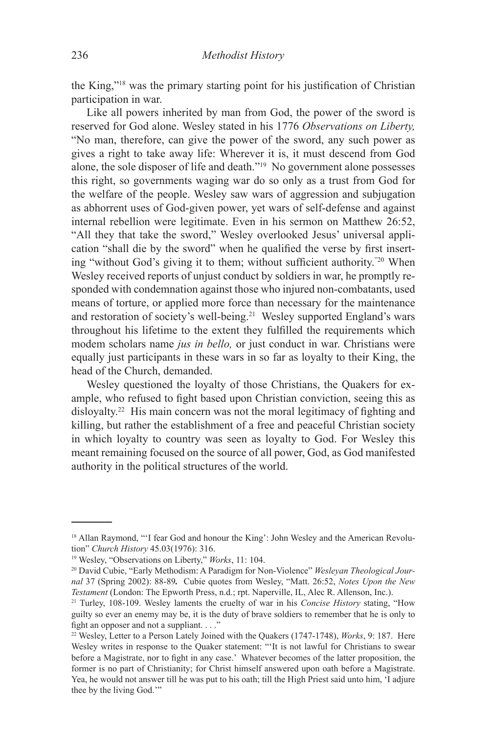the King,"18 was the primary starting point for his justification of Christian participation in war.

Like all powers inherited by man from God, the power of the sword is reserved for God alone. Wesley stated in his 1776 *Observations on Liberty,*  "No man, therefore, can give the power of the sword, any such power as gives a right to take away life: Wherever it is, it must descend from God alone, the sole disposer of life and death."19 No government alone possesses this right, so governments waging war do so only as a trust from God for the welfare of the people. Wesley saw wars of aggression and subjugation as abhorrent uses of God-given power, yet wars of self-defense and against internal rebellion were legitimate. Even in his sermon on Matthew 26:52, "All they that take the sword," Wesley overlooked Jesus' universal application "shall die by the sword" when he qualified the verse by first inserting "without God's giving it to them; without sufficient authority."20 When Wesley received reports of unjust conduct by soldiers in war, he promptly responded with condemnation against those who injured non-combatants, used means of torture, or applied more force than necessary for the maintenance and restoration of society's well-being.<sup>21</sup> Wesley supported England's wars throughout his lifetime to the extent they fulfilled the requirements which modem scholars name *jus in bello,* or just conduct in war. Christians were equally just participants in these wars in so far as loyalty to their King, the head of the Church, demanded.

Wesley questioned the loyalty of those Christians, the Quakers for example, who refused to fight based upon Christian conviction, seeing this as disloyalty.<sup>22</sup> His main concern was not the moral legitimacy of fighting and killing, but rather the establishment of a free and peaceful Christian society in which loyalty to country was seen as loyalty to God. For Wesley this meant remaining focused on the source of all power, God, as God manifested authority in the political structures of the world.

<sup>&</sup>lt;sup>18</sup> Allan Raymond, "'I fear God and honour the King': John Wesley and the American Revolution" *Church History* 45.03(1976): 316.

<sup>19</sup> Wesley, "Observations on Liberty," *Works*, 11: 104.

<sup>20</sup> David Cubie, "Early Methodism: A Paradigm for Non-Violence" *Wesleyan Theological Journal* 37 (Spring 2002): 88-89*.* Cubie quotes from Wesley, "Matt. 26:52, *Notes Upon the New Testament* (London: The Epworth Press, n.d.; rpt. Naperville, IL, Alec R. Allenson, Inc.).

<sup>21</sup> Turley, 108-109. Wesley laments the cruelty of war in his *Concise History* stating, "How guilty so ever an enemy may be, it is the duty of brave soldiers to remember that he is only to fight an opposer and not a suppliant. . . ."

<sup>22</sup> Wesley, Letter to a Person Lately Joined with the Quakers (1747-1748), *Works*, 9: 187. Here Wesley writes in response to the Quaker statement: "'It is not lawful for Christians to swear before a Magistrate, nor to fight in any case.' Whatever becomes of the latter proposition, the former is no part of Christianity; for Christ himself answered upon oath before a Magistrate. Yea, he would not answer till he was put to his oath; till the High Priest said unto him, 'I adjure thee by the living God.'"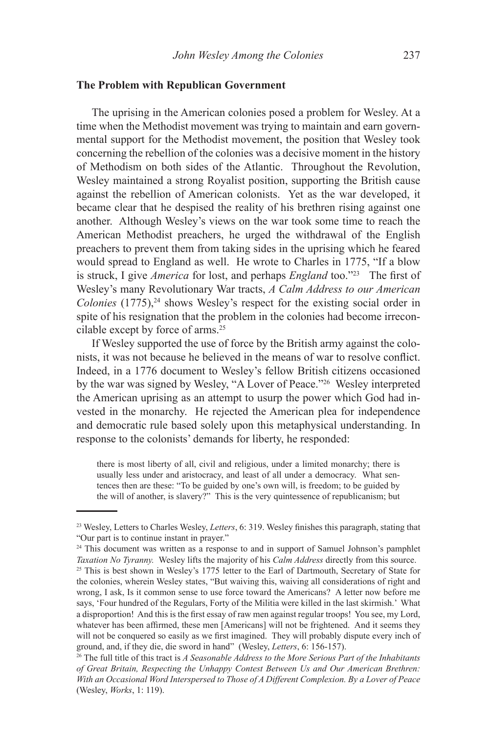#### **The Problem with Republican Government**

The uprising in the American colonies posed a problem for Wesley. At a time when the Methodist movement was trying to maintain and earn governmental support for the Methodist movement, the position that Wesley took concerning the rebellion of the colonies was a decisive moment in the history of Methodism on both sides of the Atlantic. Throughout the Revolution, Wesley maintained a strong Royalist position, supporting the British cause against the rebellion of American colonists. Yet as the war developed, it became clear that he despised the reality of his brethren rising against one another. Although Wesley's views on the war took some time to reach the American Methodist preachers, he urged the withdrawal of the English preachers to prevent them from taking sides in the uprising which he feared would spread to England as well. He wrote to Charles in 1775, "If a blow is struck, I give *America* for lost, and perhaps *England* too."23 The first of Wesley's many Revolutionary War tracts, *A Calm Address to our American Colonies* (1775),<sup>24</sup> shows Wesley's respect for the existing social order in spite of his resignation that the problem in the colonies had become irreconcilable except by force of arms.<sup>25</sup>

If Wesley supported the use of force by the British army against the colonists, it was not because he believed in the means of war to resolve conflict. Indeed, in a 1776 document to Wesley's fellow British citizens occasioned by the war was signed by Wesley, "A Lover of Peace."26 Wesley interpreted the American uprising as an attempt to usurp the power which God had invested in the monarchy. He rejected the American plea for independence and democratic rule based solely upon this metaphysical understanding. In response to the colonists' demands for liberty, he responded:

there is most liberty of all, civil and religious, under a limited monarchy; there is usually less under and aristocracy, and least of all under a democracy. What sentences then are these: "To be guided by one's own will, is freedom; to be guided by the will of another, is slavery?" This is the very quintessence of republicanism; but

<sup>23</sup> Wesley, Letters to Charles Wesley, *Letters*, 6: 319. Wesley finishes this paragraph, stating that "Our part is to continue instant in prayer."

<sup>&</sup>lt;sup>24</sup> This document was written as a response to and in support of Samuel Johnson's pamphlet *Taxation No Tyranny.* Wesley lifts the majority of his *Calm Address* directly from this source.

<sup>&</sup>lt;sup>25</sup> This is best shown in Wesley's 1775 letter to the Earl of Dartmouth, Secretary of State for the colonies, wherein Wesley states, "But waiving this, waiving all considerations of right and wrong, I ask, Is it common sense to use force toward the Americans? A letter now before me says, 'Four hundred of the Regulars, Forty of the Militia were killed in the last skirmish.' What a disproportion! And this is the first essay of raw men against regular troops! You see, my Lord, whatever has been affirmed, these men [Americans] will not be frightened. And it seems they will not be conquered so easily as we first imagined. They will probably dispute every inch of ground, and, if they die, die sword in hand" (Wesley, *Letters*, 6: 156-157).

<sup>26</sup> The full title of this tract is *A Seasonable Address to the More Serious Part of the Inhabitants of Great Britain, Respecting the Unhappy Contest Between Us and Our American Brethren: With an Occasional Word Interspersed to Those of A Different Complexion. By a Lover of Peace* (Wesley, *Works*, 1: 119).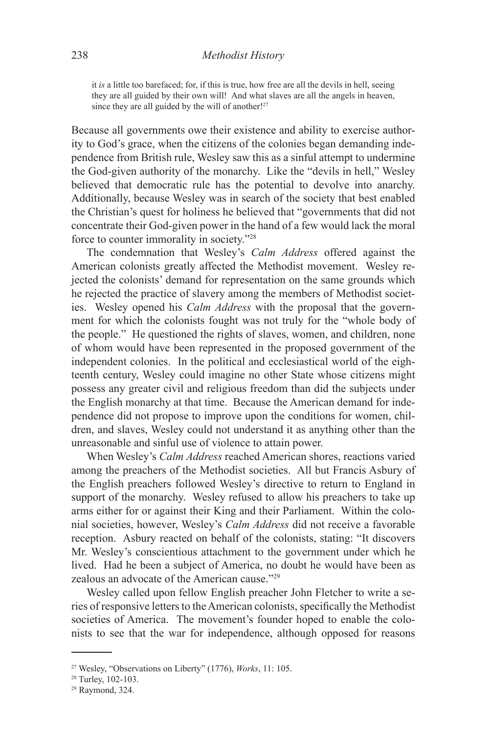it *is* a little too barefaced; for, if this is true, how free are all the devils in hell, seeing they are all guided by their own will! And what slaves are all the angels in heaven, since they are all guided by the will of another!<sup>27</sup>

Because all governments owe their existence and ability to exercise authority to God's grace, when the citizens of the colonies began demanding independence from British rule, Wesley saw this as a sinful attempt to undermine the God-given authority of the monarchy. Like the "devils in hell," Wesley believed that democratic rule has the potential to devolve into anarchy. Additionally, because Wesley was in search of the society that best enabled the Christian's quest for holiness he believed that "governments that did not concentrate their God-given power in the hand of a few would lack the moral force to counter immorality in society."28

The condemnation that Wesley's *Calm Address* offered against the American colonists greatly affected the Methodist movement. Wesley rejected the colonists' demand for representation on the same grounds which he rejected the practice of slavery among the members of Methodist societies. Wesley opened his *Calm Address* with the proposal that the government for which the colonists fought was not truly for the "whole body of the people." He questioned the rights of slaves, women, and children, none of whom would have been represented in the proposed government of the independent colonies. In the political and ecclesiastical world of the eighteenth century, Wesley could imagine no other State whose citizens might possess any greater civil and religious freedom than did the subjects under the English monarchy at that time. Because the American demand for independence did not propose to improve upon the conditions for women, children, and slaves, Wesley could not understand it as anything other than the unreasonable and sinful use of violence to attain power.

When Wesley's *Calm Address* reached American shores, reactions varied among the preachers of the Methodist societies. All but Francis Asbury of the English preachers followed Wesley's directive to return to England in support of the monarchy. Wesley refused to allow his preachers to take up arms either for or against their King and their Parliament. Within the colonial societies, however, Wesley's *Calm Address* did not receive a favorable reception. Asbury reacted on behalf of the colonists, stating: "It discovers Mr. Wesley's conscientious attachment to the government under which he lived. Had he been a subject of America, no doubt he would have been as zealous an advocate of the American cause."29

Wesley called upon fellow English preacher John Fletcher to write a series of responsive letters to the American colonists, specifically the Methodist societies of America. The movement's founder hoped to enable the colonists to see that the war for independence, although opposed for reasons

<sup>27</sup> Wesley, "Observations on Liberty" (1776), *Works*, 11: 105.

<sup>28</sup> Turley, 102-103.

<sup>29</sup> Raymond, 324.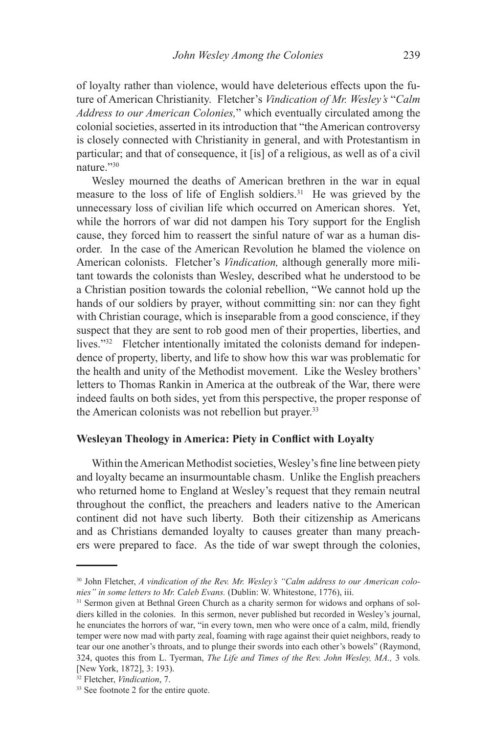of loyalty rather than violence, would have deleterious effects upon the future of American Christianity. Fletcher's *Vindication of Mr. Wesley's* "*Calm Address to our American Colonies,*" which eventually circulated among the colonial societies, asserted in its introduction that "the American controversy is closely connected with Christianity in general, and with Protestantism in particular; and that of consequence, it [is] of a religious, as well as of a civil nature<sup>"30</sup>

Wesley mourned the deaths of American brethren in the war in equal measure to the loss of life of English soldiers.31 He was grieved by the unnecessary loss of civilian life which occurred on American shores. Yet, while the horrors of war did not dampen his Tory support for the English cause, they forced him to reassert the sinful nature of war as a human disorder. In the case of the American Revolution he blamed the violence on American colonists. Fletcher's *Vindication,* although generally more militant towards the colonists than Wesley, described what he understood to be a Christian position towards the colonial rebellion, "We cannot hold up the hands of our soldiers by prayer, without committing sin: nor can they fight with Christian courage, which is inseparable from a good conscience, if they suspect that they are sent to rob good men of their properties, liberties, and lives."<sup>32</sup> Fletcher intentionally imitated the colonists demand for independence of property, liberty, and life to show how this war was problematic for the health and unity of the Methodist movement. Like the Wesley brothers' letters to Thomas Rankin in America at the outbreak of the War, there were indeed faults on both sides, yet from this perspective, the proper response of the American colonists was not rebellion but prayer.<sup>33</sup>

## **Wesleyan Theology in America: Piety in Conflict with Loyalty**

Within the American Methodist societies, Wesley's fine line between piety and loyalty became an insurmountable chasm. Unlike the English preachers who returned home to England at Wesley's request that they remain neutral throughout the conflict, the preachers and leaders native to the American continent did not have such liberty. Both their citizenship as Americans and as Christians demanded loyalty to causes greater than many preachers were prepared to face. As the tide of war swept through the colonies,

<sup>30</sup> John Fletcher, *A vindication of the Rev. Mr. Wesley's "Calm address to our American colonies" in some letters to Mr. Caleb Evans.* (Dublin: W. Whitestone, 1776), iii.

<sup>&</sup>lt;sup>31</sup> Sermon given at Bethnal Green Church as a charity sermon for widows and orphans of soldiers killed in the colonies. In this sermon, never published but recorded in Wesley's journal, he enunciates the horrors of war, "in every town, men who were once of a calm, mild, friendly temper were now mad with party zeal, foaming with rage against their quiet neighbors, ready to tear our one another's throats, and to plunge their swords into each other's bowels" (Raymond, 324, quotes this from L. Tyerman, *The Life and Times of the Rev. John Wesley, MA.,* 3 vols. [New York, 1872], 3: 193).

<sup>32</sup> Fletcher, *Vindication*, 7.

<sup>33</sup> See footnote 2 for the entire quote.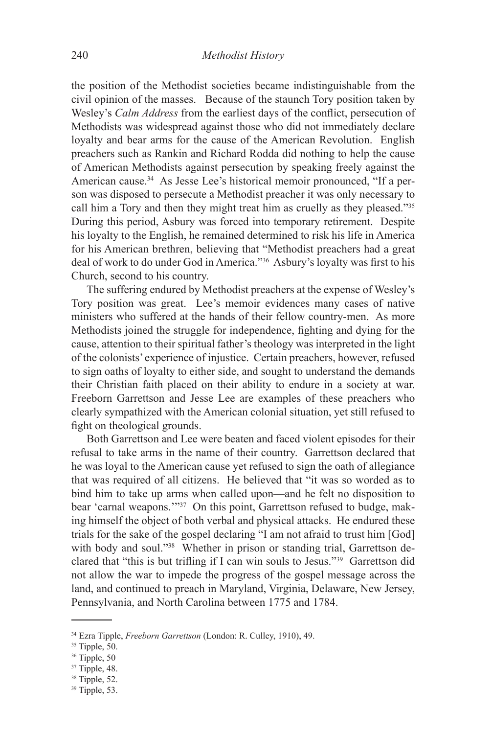the position of the Methodist societies became indistinguishable from the civil opinion of the masses. Because of the staunch Tory position taken by Wesley's *Calm Address* from the earliest days of the conflict, persecution of Methodists was widespread against those who did not immediately declare loyalty and bear arms for the cause of the American Revolution. English preachers such as Rankin and Richard Rodda did nothing to help the cause of American Methodists against persecution by speaking freely against the American cause.34 As Jesse Lee's historical memoir pronounced, "If a person was disposed to persecute a Methodist preacher it was only necessary to call him a Tory and then they might treat him as cruelly as they pleased."35 During this period, Asbury was forced into temporary retirement. Despite his loyalty to the English, he remained determined to risk his life in America for his American brethren, believing that "Methodist preachers had a great deal of work to do under God in America."36 Asbury's loyalty was first to his Church, second to his country.

The suffering endured by Methodist preachers at the expense of Wesley's Tory position was great. Lee's memoir evidences many cases of native ministers who suffered at the hands of their fellow country-men. As more Methodists joined the struggle for independence, fighting and dying for the cause, attention to their spiritual father's theology was interpreted in the light of the colonists' experience of injustice. Certain preachers, however, refused to sign oaths of loyalty to either side, and sought to understand the demands their Christian faith placed on their ability to endure in a society at war. Freeborn Garrettson and Jesse Lee are examples of these preachers who clearly sympathized with the American colonial situation, yet still refused to fight on theological grounds.

Both Garrettson and Lee were beaten and faced violent episodes for their refusal to take arms in the name of their country. Garrettson declared that he was loyal to the American cause yet refused to sign the oath of allegiance that was required of all citizens. He believed that "it was so worded as to bind him to take up arms when called upon—and he felt no disposition to bear 'carnal weapons.'"37 On this point, Garrettson refused to budge, making himself the object of both verbal and physical attacks. He endured these trials for the sake of the gospel declaring "I am not afraid to trust him [God] with body and soul."38 Whether in prison or standing trial, Garrettson declared that "this is but trifling if I can win souls to Jesus."39 Garrettson did not allow the war to impede the progress of the gospel message across the land, and continued to preach in Maryland, Virginia, Delaware, New Jersey, Pennsylvania, and North Carolina between 1775 and 1784.

<sup>34</sup> Ezra Tipple, *Freeborn Garrettson* (London: R. Culley, 1910), 49.

 $35$  Tipple,  $50$ .

<sup>36</sup> Tipple, 50

<sup>37</sup> Tipple, 48.

<sup>38</sup> Tipple, 52.

 $39$  Tipple, 53.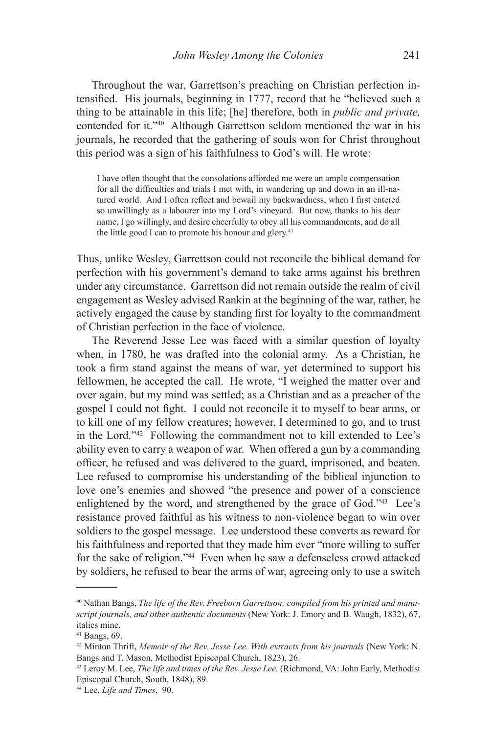Throughout the war, Garrettson's preaching on Christian perfection intensified. His journals, beginning in 1777, record that he "believed such a thing to be attainable in this life; [he] therefore, both in *public and private,*  contended for it."40 Although Garrettson seldom mentioned the war in his journals, he recorded that the gathering of souls won for Christ throughout this period was a sign of his faithfulness to God's will. He wrote:

I have often thought that the consolations afforded me were an ample compensation for all the difficulties and trials I met with, in wandering up and down in an ill-natured world. And I often reflect and bewail my backwardness, when I first entered so unwillingly as a labourer into my Lord's vineyard. But now, thanks to his dear name, I go willingly, and desire cheerfully to obey all his commandments, and do all the little good I can to promote his honour and glory.<sup>41</sup>

Thus, unlike Wesley, Garrettson could not reconcile the biblical demand for perfection with his government's demand to take arms against his brethren under any circumstance. Garrettson did not remain outside the realm of civil engagement as Wesley advised Rankin at the beginning of the war, rather, he actively engaged the cause by standing first for loyalty to the commandment of Christian perfection in the face of violence.

The Reverend Jesse Lee was faced with a similar question of loyalty when, in 1780, he was drafted into the colonial army. As a Christian, he took a firm stand against the means of war, yet determined to support his fellowmen, he accepted the call. He wrote, "I weighed the matter over and over again, but my mind was settled; as a Christian and as a preacher of the gospel I could not fight. I could not reconcile it to myself to bear arms, or to kill one of my fellow creatures; however, I determined to go, and to trust in the Lord."42 Following the commandment not to kill extended to Lee's ability even to carry a weapon of war. When offered a gun by a commanding officer, he refused and was delivered to the guard, imprisoned, and beaten. Lee refused to compromise his understanding of the biblical injunction to love one's enemies and showed "the presence and power of a conscience enlightened by the word, and strengthened by the grace of God."43 Lee's resistance proved faithful as his witness to non-violence began to win over soldiers to the gospel message. Lee understood these converts as reward for his faithfulness and reported that they made him ever "more willing to suffer for the sake of religion."44 Even when he saw a defenseless crowd attacked by soldiers, he refused to bear the arms of war, agreeing only to use a switch

<sup>40</sup> Nathan Bangs, *The life of the Rev. Freeborn Garrettson: compiled from his printed and manuscript journals, and other authentic documents* (New York: J. Emory and B. Waugh, 1832), 67, italics mine.

<sup>41</sup> Bangs, 69.

<sup>42</sup> Minton Thrift, *Memoir of the Rev. Jesse Lee. With extracts from his journals* (New York: N. Bangs and T. Mason, Methodist Episcopal Church, 1823), 26.

<sup>43</sup> Leroy M. Lee, *The life and times of the Rev. Jesse Lee.* (Richmond, VA: John Early, Methodist Episcopal Church, South, 1848), 89.

<sup>44</sup> Lee, *Life and Times*, 90.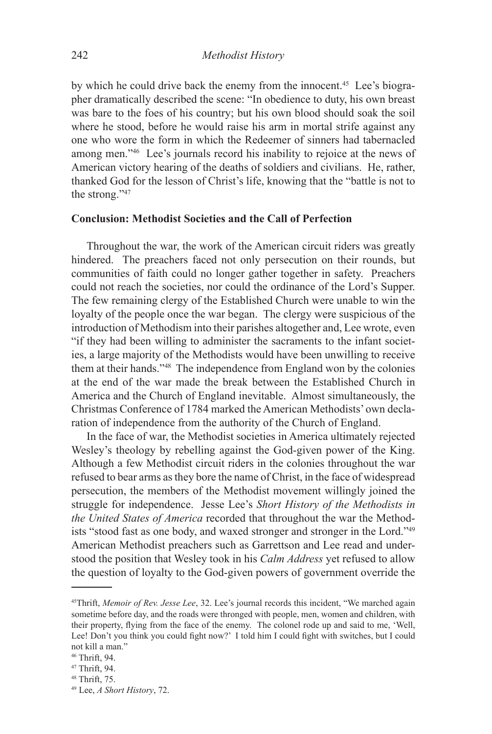by which he could drive back the enemy from the innocent.45 Lee's biographer dramatically described the scene: "In obedience to duty, his own breast was bare to the foes of his country; but his own blood should soak the soil where he stood, before he would raise his arm in mortal strife against any one who wore the form in which the Redeemer of sinners had tabernacled among men."46 Lee's journals record his inability to rejoice at the news of American victory hearing of the deaths of soldiers and civilians. He, rather, thanked God for the lesson of Christ's life, knowing that the "battle is not to the strong."47

## **Conclusion: Methodist Societies and the Call of Perfection**

Throughout the war, the work of the American circuit riders was greatly hindered. The preachers faced not only persecution on their rounds, but communities of faith could no longer gather together in safety. Preachers could not reach the societies, nor could the ordinance of the Lord's Supper. The few remaining clergy of the Established Church were unable to win the loyalty of the people once the war began. The clergy were suspicious of the introduction of Methodism into their parishes altogether and, Lee wrote, even "if they had been willing to administer the sacraments to the infant societies, a large majority of the Methodists would have been unwilling to receive them at their hands."48 The independence from England won by the colonies at the end of the war made the break between the Established Church in America and the Church of England inevitable. Almost simultaneously, the Christmas Conference of 1784 marked the American Methodists' own declaration of independence from the authority of the Church of England.

In the face of war, the Methodist societies in America ultimately rejected Wesley's theology by rebelling against the God-given power of the King. Although a few Methodist circuit riders in the colonies throughout the war refused to bear arms as they bore the name of Christ, in the face of widespread persecution, the members of the Methodist movement willingly joined the struggle for independence. Jesse Lee's *Short History of the Methodists in the United States of America* recorded that throughout the war the Methodists "stood fast as one body, and waxed stronger and stronger in the Lord."49 American Methodist preachers such as Garrettson and Lee read and understood the position that Wesley took in his *Calm Address* yet refused to allow the question of loyalty to the God-given powers of government override the

<sup>45</sup>Thrift, *Memoir of Rev. Jesse Lee*, 32. Lee's journal records this incident, "We marched again sometime before day, and the roads were thronged with people, men, women and children, with their property, flying from the face of the enemy. The colonel rode up and said to me, 'Well, Lee! Don't you think you could fight now?' I told him I could fight with switches, but I could not kill a man."

<sup>46</sup> Thrift, 94.

<sup>47</sup> Thrift, 94.

<sup>48</sup> Thrift, 75.

<sup>49</sup> Lee, *A Short History*, 72.